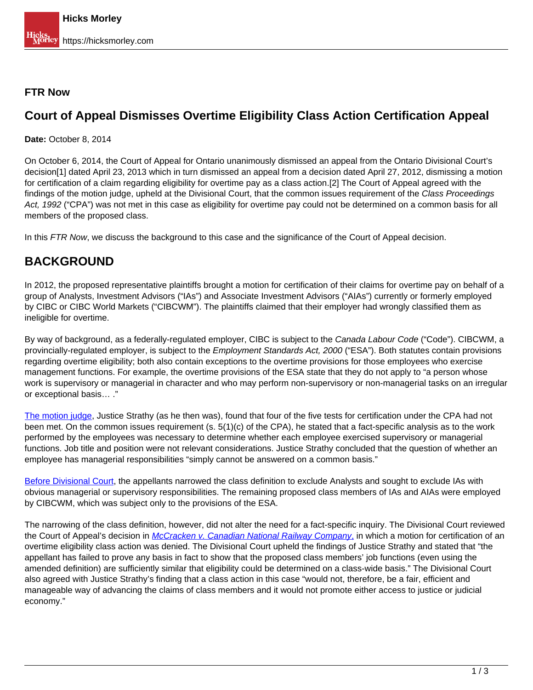## **FTR Now**

## **Court of Appeal Dismisses Overtime Eligibility Class Action Certification Appeal**

**Date:** October 8, 2014

On October 6, 2014, the Court of Appeal for Ontario unanimously dismissed an appeal from the Ontario Divisional Court's decision[1] dated April 23, 2013 which in turn dismissed an appeal from a decision dated April 27, 2012, dismissing a motion for certification of a claim regarding eligibility for overtime pay as a class action.[2] The Court of Appeal agreed with the findings of the motion judge, upheld at the Divisional Court, that the common issues requirement of the Class Proceedings Act, 1992 ("CPA") was not met in this case as eligibility for overtime pay could not be determined on a common basis for all members of the proposed class.

In this FTR Now, we discuss the background to this case and the significance of the Court of Appeal decision.

## **BACKGROUND**

In 2012, the proposed representative plaintiffs brought a motion for certification of their claims for overtime pay on behalf of a group of Analysts, Investment Advisors ("IAs") and Associate Investment Advisors ("AIAs") currently or formerly employed by CIBC or CIBC World Markets ("CIBCWM"). The plaintiffs claimed that their employer had wrongly classified them as ineligible for overtime.

By way of background, as a federally-regulated employer, CIBC is subject to the Canada Labour Code ("Code"). CIBCWM, a provincially-regulated employer, is subject to the *Employment Standards Act, 2000* ("ESA"). Both statutes contain provisions regarding overtime eligibility; both also contain exceptions to the overtime provisions for those employees who exercise management functions. For example, the overtime provisions of the ESA state that they do not apply to "a person whose work is supervisory or managerial in character and who may perform non-supervisory or non-managerial tasks on an irregular or exceptional basis… ."

[The motion judge,](http://www.canlii.org/en/on/onsc/doc/2012/2012onsc2377/2012onsc2377.html) Justice Strathy (as he then was), found that four of the five tests for certification under the CPA had not been met. On the common issues requirement (s. 5(1)(c) of the CPA), he stated that a fact-specific analysis as to the work performed by the employees was necessary to determine whether each employee exercised supervisory or managerial functions. Job title and position were not relevant considerations. Justice Strathy concluded that the question of whether an employee has managerial responsibilities "simply cannot be answered on a common basis."

Before Divisional Court, the appellants narrowed the class definition to exclude Analysts and sought to exclude IAs with obvious managerial or supervisory responsibilities. The remaining proposed class members of IAs and AIAs were employed by CIBCWM, which was subject only to the provisions of the ESA.

The narrowing of the class definition, however, did not alter the need for a fact-specific inquiry. The Divisional Court reviewed the Court of Appeal's decision in *McCracken v. Canadian National Railway Company*, in which a motion for certification of an overtime eligibility class action was denied. The Divisional Court upheld the findings of Justice Strathy and stated that "the appellant has failed to prove any basis in fact to show that the proposed class members' job functions (even using the amended definition) are sufficiently similar that eligibility could be determined on a class-wide basis." The Divisional Court also agreed with Justice Strathy's finding that a class action in this case "would not, therefore, be a fair, efficient and manageable way of advancing the claims of class members and it would not promote either access to justice or judicial economy."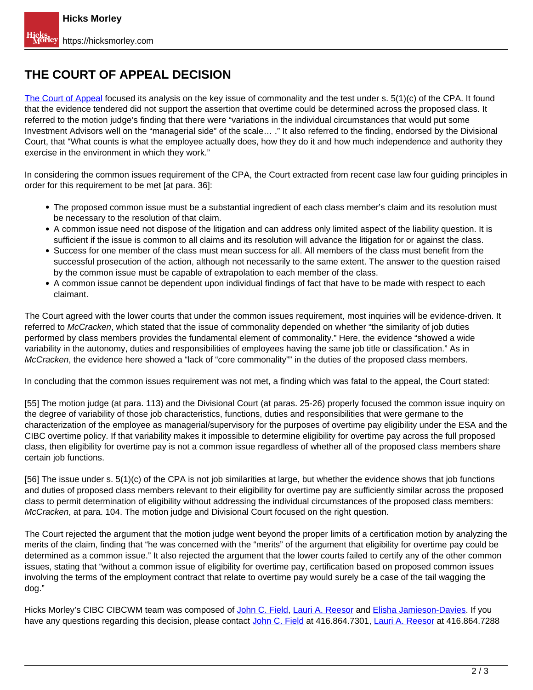## **THE COURT OF APPEAL DECISION**

The Court of Appeal focused its analysis on the key issue of commonality and the test under s. 5(1)(c) of the CPA. It found that the evidence tendered did not support the assertion that overtime could be determined across the proposed class. It referred to the motion judge's finding that there were "variations in the individual circumstances that would put some Investment Advisors well on the "managerial side" of the scale… ." It also referred to the finding, endorsed by the Divisional Court, that "What counts is what the employee actually does, how they do it and how much independence and authority they exercise in the environment in which they work."

In considering the common issues requirement of the CPA, the Court extracted from recent case law four guiding principles in order for this requirement to be met [at para. 36]:

- The proposed common issue must be a substantial ingredient of each class member's claim and its resolution must be necessary to the resolution of that claim.
- A common issue need not dispose of the litigation and can address only limited aspect of the liability question. It is sufficient if the issue is common to all claims and its resolution will advance the litigation for or against the class.
- Success for one member of the class must mean success for all. All members of the class must benefit from the successful prosecution of the action, although not necessarily to the same extent. The answer to the question raised by the common issue must be capable of extrapolation to each member of the class.
- A common issue cannot be dependent upon individual findings of fact that have to be made with respect to each claimant.

The Court agreed with the lower courts that under the common issues requirement, most inquiries will be evidence-driven. It referred to McCracken, which stated that the issue of commonality depended on whether "the similarity of job duties performed by class members provides the fundamental element of commonality." Here, the evidence "showed a wide variability in the autonomy, duties and responsibilities of employees having the same job title or classification." As in McCracken, the evidence here showed a "lack of "core commonality"" in the duties of the proposed class members.

In concluding that the common issues requirement was not met, a finding which was fatal to the appeal, the Court stated:

[55] The motion judge (at para. 113) and the Divisional Court (at paras. 25-26) properly focused the common issue inquiry on the degree of variability of those job characteristics, functions, duties and responsibilities that were germane to the characterization of the employee as managerial/supervisory for the purposes of overtime pay eligibility under the ESA and the CIBC overtime policy. If that variability makes it impossible to determine eligibility for overtime pay across the full proposed class, then eligibility for overtime pay is not a common issue regardless of whether all of the proposed class members share certain job functions.

[56] The issue under s. 5(1)(c) of the CPA is not job similarities at large, but whether the evidence shows that job functions and duties of proposed class members relevant to their eligibility for overtime pay are sufficiently similar across the proposed class to permit determination of eligibility without addressing the individual circumstances of the proposed class members: McCracken, at para. 104. The motion judge and Divisional Court focused on the right question.

The Court rejected the argument that the motion judge went beyond the proper limits of a certification motion by analyzing the merits of the claim, finding that "he was concerned with the "merits" of the argument that eligibility for overtime pay could be determined as a common issue." It also rejected the argument that the lower courts failed to certify any of the other common issues, stating that "without a common issue of eligibility for overtime pay, certification based on proposed common issues involving the terms of the employment contract that relate to overtime pay would surely be a case of the tail wagging the dog."

Hicks Morley's CIBC CIBCWM team was composed of John C. Field, Lauri A. Reesor and Elisha Jamieson-Davies. If you have any questions regarding this decision, please contact John C. Field at 416.864.7301, Lauri A. Reesor at 416.864.7288